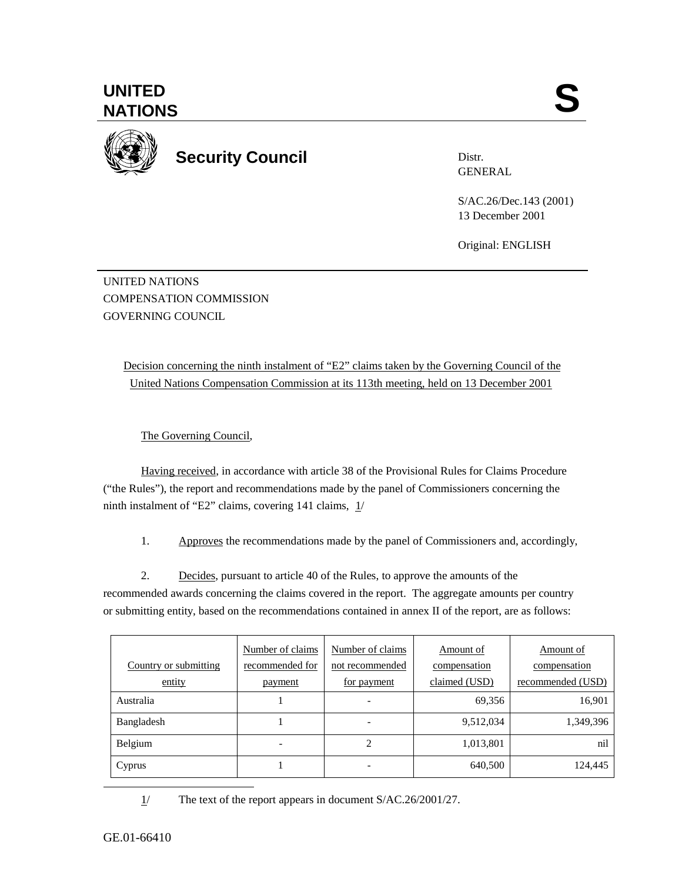**UNITED**  UNITED SANTIONS



**Security Council** 

Distr. GENERAL

S/AC.26/Dec.143 (2001) 13 December 2001

Original: ENGLISH

UNITED NATIONS COMPENSATION COMMISSION GOVERNING COUNCIL

> Decision concerning the ninth instalment of "E2" claims taken by the Governing Council of the United Nations Compensation Commission at its 113th meeting, held on 13 December 2001

The Governing Council,

Having received, in accordance with article 38 of the Provisional Rules for Claims Procedure ("the Rules"), the report and recommendations made by the panel of Commissioners concerning the ninth instalment of "E2" claims, covering 141 claims, 1/

1. Approves the recommendations made by the panel of Commissioners and, accordingly,

2. Decides, pursuant to article 40 of the Rules, to approve the amounts of the recommended awards concerning the claims covered in the report. The aggregate amounts per country or submitting entity, based on the recommendations contained in annex II of the report, are as follows:

|                       | Number of claims | Number of claims         | Amount of     | Amount of         |
|-----------------------|------------------|--------------------------|---------------|-------------------|
| Country or submitting | recommended for  | not recommended          | compensation  | compensation      |
| entity                | payment          | for payment              | claimed (USD) | recommended (USD) |
| Australia             |                  | $\overline{\phantom{a}}$ | 69,356        | 16,901            |
| Bangladesh            |                  | $\overline{\phantom{a}}$ | 9,512,034     | 1,349,396         |
| Belgium               | -                | 2                        | 1,013,801     | nil               |
| Cyprus                |                  | $\overline{\phantom{a}}$ | 640,500       | 124,445           |

1/ The text of the report appears in document S/AC.26/2001/27.

GE.01-66410

 $\overline{a}$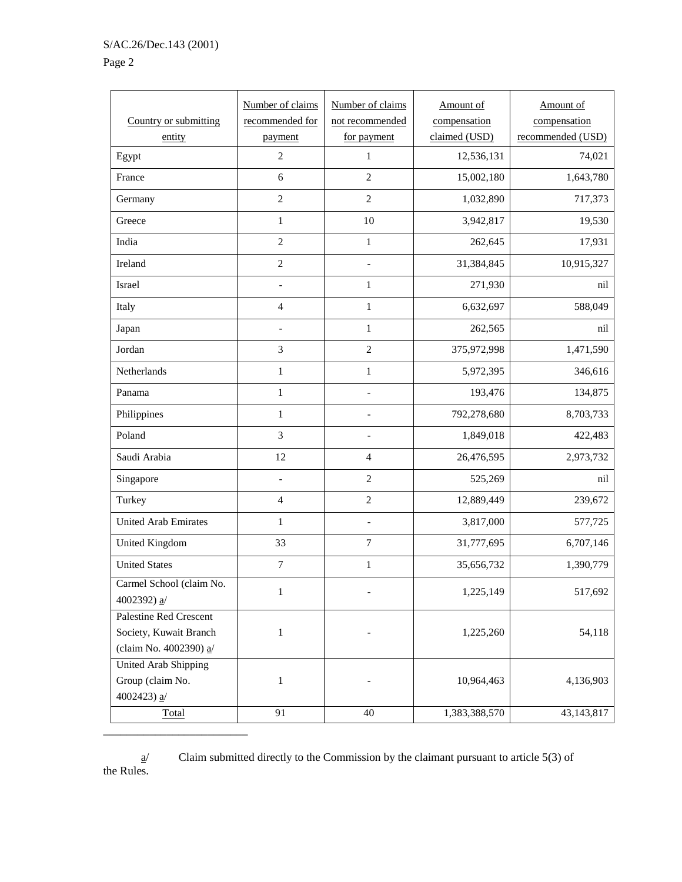\_\_\_\_\_\_\_\_\_\_\_\_\_\_\_\_\_\_\_\_\_\_\_\_\_

## Page 2

| Country or submitting<br>entity                                              | Number of claims<br>recommended for<br>payment | Number of claims<br>not recommended<br>for payment | Amount of<br>compensation<br>claimed (USD) | Amount of<br>compensation<br>recommended (USD) |
|------------------------------------------------------------------------------|------------------------------------------------|----------------------------------------------------|--------------------------------------------|------------------------------------------------|
| Egypt                                                                        | $\overline{2}$                                 | $\mathbf{1}$                                       | 12,536,131                                 | 74,021                                         |
| France                                                                       | 6                                              | $\overline{2}$                                     | 15,002,180                                 | 1,643,780                                      |
| Germany                                                                      | $\overline{2}$                                 | $\overline{2}$                                     | 1,032,890                                  | 717,373                                        |
| Greece                                                                       | $\mathbf{1}$                                   | 10                                                 | 3,942,817                                  | 19,530                                         |
| India                                                                        | $\overline{2}$                                 | $\mathbf 1$                                        | 262,645                                    | 17,931                                         |
| Ireland                                                                      | $\overline{c}$                                 | $\overline{a}$                                     | 31,384,845                                 | 10,915,327                                     |
| Israel                                                                       |                                                | $\mathbf{1}$                                       | 271,930                                    | nil                                            |
| Italy                                                                        | $\overline{4}$                                 | $\,1$                                              | 6,632,697                                  | 588,049                                        |
| Japan                                                                        | $\frac{1}{2}$                                  | $\mathbf{1}$                                       | 262,565                                    | nil                                            |
| Jordan                                                                       | 3                                              | $\overline{2}$                                     | 375,972,998                                | 1,471,590                                      |
| Netherlands                                                                  | $\mathbf{1}$                                   | $\,1$                                              | 5,972,395                                  | 346,616                                        |
| Panama                                                                       | $\mathbf{1}$                                   |                                                    | 193,476                                    | 134,875                                        |
| Philippines                                                                  | $\mathbf{1}$                                   | $\qquad \qquad \blacksquare$                       | 792,278,680                                | 8,703,733                                      |
| Poland                                                                       | $\overline{3}$                                 | $\qquad \qquad -$                                  | 1,849,018                                  | 422,483                                        |
| Saudi Arabia                                                                 | 12                                             | $\overline{4}$                                     | 26,476,595                                 | 2,973,732                                      |
| Singapore                                                                    | $\overline{\phantom{0}}$                       | $\sqrt{2}$                                         | 525,269                                    | nil                                            |
| Turkey                                                                       | $\overline{4}$                                 | $\sqrt{2}$                                         | 12,889,449                                 | 239,672                                        |
| <b>United Arab Emirates</b>                                                  | $\mathbf{1}$                                   | $\qquad \qquad \blacksquare$                       | 3,817,000                                  | 577,725                                        |
| United Kingdom                                                               | 33                                             | $\boldsymbol{7}$                                   | 31,777,695                                 | 6,707,146                                      |
| <b>United States</b>                                                         | $\boldsymbol{7}$                               | $\mathbf{1}$                                       | 35,656,732                                 | 1,390,779                                      |
| Carmel School (claim No.<br>4002392) $a/$                                    | 1                                              |                                                    | 1,225,149                                  | 517,692                                        |
| Palestine Red Crescent<br>Society, Kuwait Branch<br>(claim No. 4002390) $a/$ | $\mathbf{1}$                                   |                                                    | 1,225,260                                  | 54,118                                         |
| United Arab Shipping<br>Group (claim No.<br>4002423) $a/$                    | $\mathbf{1}$                                   |                                                    | 10,964,463                                 | 4,136,903                                      |
| Total                                                                        | 91                                             | 40                                                 | 1,383,388,570                              | 43,143,817                                     |

Claim submitted directly to the Commission by the claimant pursuant to article 5(3) of the Rules.